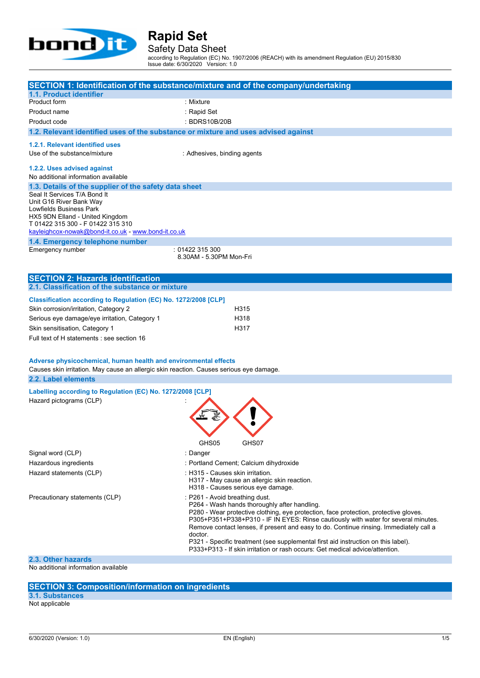

Safety Data Sheet

according to Regulation (EC) No. 1907/2006 (REACH) with its amendment Regulation (EU) 2015/830 Issue date: 6/30/2020 Version: 1.0

|                                                                                         | SECTION 1: Identification of the substance/mixture and of the company/undertaking                                                                                            |
|-----------------------------------------------------------------------------------------|------------------------------------------------------------------------------------------------------------------------------------------------------------------------------|
| 1.1. Product identifier                                                                 |                                                                                                                                                                              |
| Product form                                                                            | : Mixture                                                                                                                                                                    |
| Product name                                                                            | : Rapid Set                                                                                                                                                                  |
| Product code                                                                            | : BDRS10B/20B                                                                                                                                                                |
| 1.2. Relevant identified uses of the substance or mixture and uses advised against      |                                                                                                                                                                              |
| 1.2.1. Relevant identified uses                                                         |                                                                                                                                                                              |
| Use of the substance/mixture                                                            | : Adhesives, binding agents                                                                                                                                                  |
| 1.2.2. Uses advised against                                                             |                                                                                                                                                                              |
| No additional information available                                                     |                                                                                                                                                                              |
| 1.3. Details of the supplier of the safety data sheet                                   |                                                                                                                                                                              |
| Seal It Services T/A Bond It                                                            |                                                                                                                                                                              |
| Unit G16 River Bank Way<br>Lowfields Business Park                                      |                                                                                                                                                                              |
| HX5 9DN Elland - United Kingdom                                                         |                                                                                                                                                                              |
| T 01422 315 300 - F 01422 315 310                                                       |                                                                                                                                                                              |
| kayleighcox-nowak@bond-it.co.uk - www.bond-it.co.uk                                     |                                                                                                                                                                              |
| 1.4. Emergency telephone number                                                         |                                                                                                                                                                              |
| Emergency number                                                                        | :01422315300<br>8.30AM - 5.30PM Mon-Fri                                                                                                                                      |
|                                                                                         |                                                                                                                                                                              |
| <b>SECTION 2: Hazards identification</b>                                                |                                                                                                                                                                              |
| 2.1. Classification of the substance or mixture                                         |                                                                                                                                                                              |
| Classification according to Regulation (EC) No. 1272/2008 [CLP]                         |                                                                                                                                                                              |
| Skin corrosion/irritation, Category 2                                                   | H315                                                                                                                                                                         |
| Serious eye damage/eye irritation, Category 1                                           | H318                                                                                                                                                                         |
| Skin sensitisation, Category 1                                                          | H317                                                                                                                                                                         |
| Full text of H statements : see section 16                                              |                                                                                                                                                                              |
|                                                                                         |                                                                                                                                                                              |
| Adverse physicochemical, human health and environmental effects                         |                                                                                                                                                                              |
| Causes skin irritation. May cause an allergic skin reaction. Causes serious eye damage. |                                                                                                                                                                              |
| 2.2. Label elements                                                                     |                                                                                                                                                                              |
| Labelling according to Regulation (EC) No. 1272/2008 [CLP]                              |                                                                                                                                                                              |
| Hazard pictograms (CLP)                                                                 |                                                                                                                                                                              |
|                                                                                         |                                                                                                                                                                              |
|                                                                                         |                                                                                                                                                                              |
|                                                                                         |                                                                                                                                                                              |
|                                                                                         |                                                                                                                                                                              |
|                                                                                         | GHS07<br>GHS05                                                                                                                                                               |
| Signal word (CLP)                                                                       | : Danger                                                                                                                                                                     |
| Hazardous ingredients                                                                   | : Portland Cement; Calcium dihydroxide                                                                                                                                       |
| Hazard statements (CLP)                                                                 | : H315 - Causes skin irritation.<br>H317 - May cause an allergic skin reaction.                                                                                              |
|                                                                                         | H318 - Causes serious eye damage.                                                                                                                                            |
| Precautionary statements (CLP)                                                          | : P261 - Avoid breathing dust.                                                                                                                                               |
|                                                                                         | P264 - Wash hands thoroughly after handling.                                                                                                                                 |
|                                                                                         | P280 - Wear protective clothing, eye protection, face protection, protective gloves.                                                                                         |
|                                                                                         | P305+P351+P338+P310 - IF IN EYES: Rinse cautiously with water for several minutes.<br>Remove contact lenses, if present and easy to do. Continue rinsing. Immediately call a |
|                                                                                         | doctor.                                                                                                                                                                      |
|                                                                                         | P321 - Specific treatment (see supplemental first aid instruction on this label).<br>P333+P313 - If skin irritation or rash occurs: Get medical advice/attention.            |
|                                                                                         |                                                                                                                                                                              |

**2.3. Other hazards** No additional information available

#### **SECTION 3: Composition/information on ingredients**

**3.1. Substances**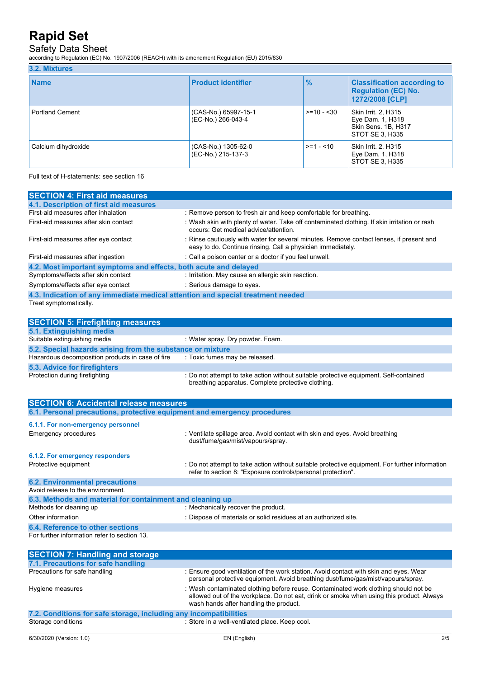## Safety Data Sheet

according to Regulation (EC) No. 1907/2006 (REACH) with its amendment Regulation (EU) 2015/830

### **3.2. Mixtures**

| <b>Name</b>            | <b>Product identifier</b>                  | $\frac{9}{6}$ | <b>Classification according to</b><br><b>Regulation (EC) No.</b><br>1272/2008 [CLP] |
|------------------------|--------------------------------------------|---------------|-------------------------------------------------------------------------------------|
| <b>Portland Cement</b> | (CAS-No.) 65997-15-1<br>(EC-No.) 266-043-4 | $>= 10 - 30$  | Skin Irrit. 2, H315<br>Eye Dam. 1, H318<br>Skin Sens. 1B, H317<br>STOT SE 3, H335   |
| Calcium dihydroxide    | (CAS-No.) 1305-62-0<br>(EC-No.) 215-137-3  | $>= 1 - 10$   | Skin Irrit. 2, H315<br>Eye Dam. 1, H318<br>STOT SE 3, H335                          |

Full text of H-statements: see section 16

| <b>SECTION 4: First aid measures</b>                                            |                                                                                                                                                         |
|---------------------------------------------------------------------------------|---------------------------------------------------------------------------------------------------------------------------------------------------------|
| 4.1. Description of first aid measures                                          |                                                                                                                                                         |
| First-aid measures after inhalation                                             | : Remove person to fresh air and keep comfortable for breathing.                                                                                        |
| First-aid measures after skin contact                                           | : Wash skin with plenty of water. Take off contaminated clothing. If skin irritation or rash<br>occurs: Get medical advice/attention.                   |
| First-aid measures after eye contact                                            | : Rinse cautiously with water for several minutes. Remove contact lenses, if present and<br>easy to do. Continue rinsing. Call a physician immediately. |
| First-aid measures after ingestion                                              | : Call a poison center or a doctor if you feel unwell.                                                                                                  |
| 4.2. Most important symptoms and effects, both acute and delayed                |                                                                                                                                                         |
| Symptoms/effects after skin contact                                             | : Irritation. May cause an allergic skin reaction.                                                                                                      |
| Symptoms/effects after eye contact                                              | : Serious damage to eyes.                                                                                                                               |
| 4.3. Indication of any immediate medical attention and special treatment needed |                                                                                                                                                         |
| Treat symptomatically.                                                          |                                                                                                                                                         |
|                                                                                 |                                                                                                                                                         |
| <b>SECTION 5: Firefighting measures</b>                                         |                                                                                                                                                         |
| 5.1. Extinguishing media                                                        |                                                                                                                                                         |
| Suitable extinguishing media                                                    | : Water spray. Dry powder. Foam.                                                                                                                        |
| 5.2. Special hazards arising from the substance or mixture                      |                                                                                                                                                         |
| Hazardous decomposition products in case of fire                                | : Toxic fumes may be released.                                                                                                                          |
| 5.3. Advice for firefighters                                                    |                                                                                                                                                         |
| Protection during firefighting                                                  | : Do not attempt to take action without suitable protective equipment. Self-contained                                                                   |

| <b>SECTION 6: Accidental release measures</b>                            |                                                                                                                                                                |  |  |  |
|--------------------------------------------------------------------------|----------------------------------------------------------------------------------------------------------------------------------------------------------------|--|--|--|
| 6.1. Personal precautions, protective equipment and emergency procedures |                                                                                                                                                                |  |  |  |
| 6.1.1. For non-emergency personnel                                       |                                                                                                                                                                |  |  |  |
| <b>Emergency procedures</b>                                              | : Ventilate spillage area. Avoid contact with skin and eyes. Avoid breathing<br>dust/fume/gas/mist/vapours/spray.                                              |  |  |  |
| 6.1.2. For emergency responders                                          |                                                                                                                                                                |  |  |  |
| Protective equipment                                                     | : Do not attempt to take action without suitable protective equipment. For further information<br>refer to section 8: "Exposure controls/personal protection". |  |  |  |
| <b>6.2. Environmental precautions</b>                                    |                                                                                                                                                                |  |  |  |
| Avoid release to the environment.                                        |                                                                                                                                                                |  |  |  |
| 6.3. Methods and material for containment and cleaning up                |                                                                                                                                                                |  |  |  |
| Methods for cleaning up                                                  | : Mechanically recover the product.                                                                                                                            |  |  |  |
| Other information                                                        | : Dispose of materials or solid residues at an authorized site.                                                                                                |  |  |  |
| 6.4. Reference to other sections                                         |                                                                                                                                                                |  |  |  |
| For further information refer to section 13.                             |                                                                                                                                                                |  |  |  |

breathing apparatus. Complete protective clothing.

| <b>SECTION 7: Handling and storage</b>                            |                                                                                                                                                                                                                           |
|-------------------------------------------------------------------|---------------------------------------------------------------------------------------------------------------------------------------------------------------------------------------------------------------------------|
| 7.1. Precautions for safe handling                                |                                                                                                                                                                                                                           |
| Precautions for safe handling                                     | : Ensure good ventilation of the work station. Avoid contact with skin and eyes. Wear<br>personal protective equipment. Avoid breathing dust/fume/gas/mist/vapours/spray.                                                 |
| Hygiene measures                                                  | : Wash contaminated clothing before reuse. Contaminated work clothing should not be<br>allowed out of the workplace. Do not eat, drink or smoke when using this product. Always<br>wash hands after handling the product. |
| 7.2. Conditions for safe storage, including any incompatibilities |                                                                                                                                                                                                                           |
| Storage conditions                                                | : Store in a well-ventilated place. Keep cool.                                                                                                                                                                            |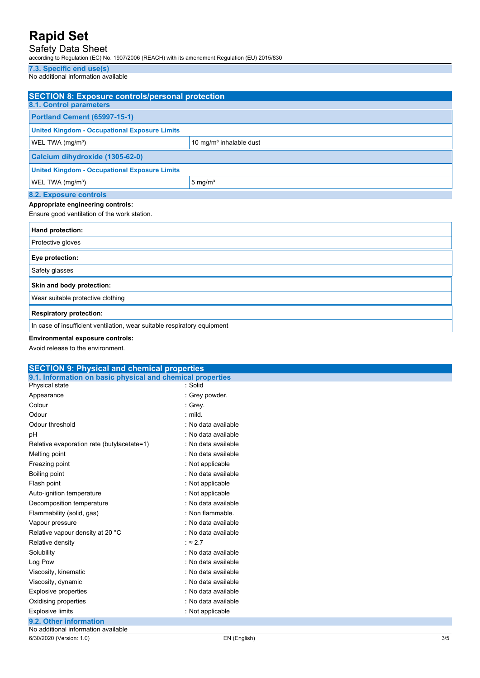## Safety Data Sheet

according to Regulation (EC) No. 1907/2006 (REACH) with its amendment Regulation (EU) 2015/830

## **7.3. Specific end use(s)**

No additional information available

| <b>SECTION 8: Exposure controls/personal protection</b>                  |                            |  |  |
|--------------------------------------------------------------------------|----------------------------|--|--|
| <b>8.1. Control parameters</b>                                           |                            |  |  |
| <b>Portland Cement (65997-15-1)</b>                                      |                            |  |  |
| <b>United Kingdom - Occupational Exposure Limits</b>                     |                            |  |  |
| WEL TWA (mg/m <sup>3</sup> )                                             | 10 mg/m $3$ inhalable dust |  |  |
| Calcium dihydroxide (1305-62-0)                                          |                            |  |  |
| <b>United Kingdom - Occupational Exposure Limits</b>                     |                            |  |  |
| WEL TWA (mg/m <sup>3</sup> )                                             | $5 \text{ mg/m}^3$         |  |  |
| 8.2. Exposure controls                                                   |                            |  |  |
| Appropriate engineering controls:                                        |                            |  |  |
| Ensure good ventilation of the work station.                             |                            |  |  |
| Hand protection:                                                         |                            |  |  |
| Protective gloves                                                        |                            |  |  |
| Eye protection:                                                          |                            |  |  |
| Safety glasses                                                           |                            |  |  |
| Skin and body protection:                                                |                            |  |  |
| Wear suitable protective clothing                                        |                            |  |  |
| <b>Respiratory protection:</b>                                           |                            |  |  |
| In case of insufficient ventilation, wear suitable respiratory equipment |                            |  |  |

**Environmental exposure controls:**

|  | Avoid release to the environment. |  |
|--|-----------------------------------|--|
|  |                                   |  |

| <b>SECTION 9: Physical and chemical properties</b>         |                     |  |  |
|------------------------------------------------------------|---------------------|--|--|
| 9.1. Information on basic physical and chemical properties |                     |  |  |
| Physical state                                             | : Solid             |  |  |
| Appearance                                                 | : Grey powder.      |  |  |
| Colour                                                     | : Grey.             |  |  |
| Odour                                                      | $:$ mild.           |  |  |
| Odour threshold                                            | : No data available |  |  |
| pH                                                         | : No data available |  |  |
| Relative evaporation rate (butylacetate=1)                 | : No data available |  |  |
| Melting point                                              | : No data available |  |  |
| Freezing point                                             | : Not applicable    |  |  |
| Boiling point                                              | : No data available |  |  |
| Flash point                                                | : Not applicable    |  |  |
| Auto-ignition temperature                                  | : Not applicable    |  |  |
| Decomposition temperature                                  | : No data available |  |  |
| Flammability (solid, gas)                                  | : Non flammable.    |  |  |
| Vapour pressure                                            | : No data available |  |  |
| Relative vapour density at 20 °C                           | : No data available |  |  |
| Relative density                                           | $\approx 2.7$       |  |  |
| Solubility                                                 | : No data available |  |  |
| Log Pow                                                    | : No data available |  |  |
| Viscosity, kinematic                                       | : No data available |  |  |
| Viscosity, dynamic                                         | : No data available |  |  |
| <b>Explosive properties</b>                                | : No data available |  |  |
| Oxidising properties                                       | : No data available |  |  |
| <b>Explosive limits</b>                                    | : Not applicable    |  |  |
| 9.2. Other information                                     |                     |  |  |
| No additional information available                        |                     |  |  |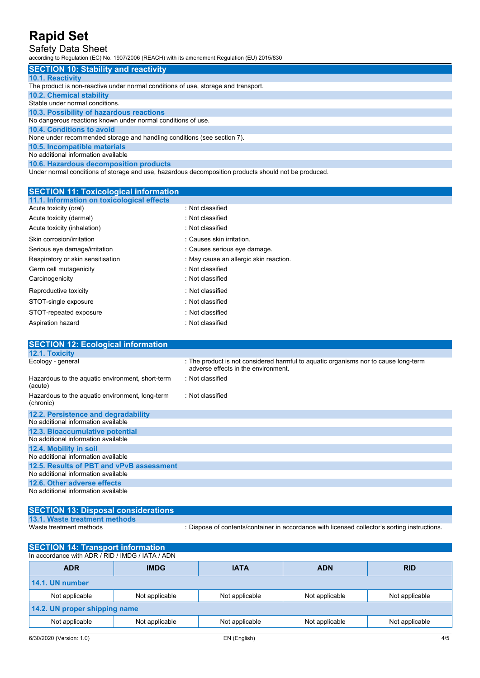## Safety Data Sheet

according to Regulation (EC) No. 1907/2006 (REACH) with its amendment Regulation (EU) 2015/830

| <b>SECTION 10: Stability and reactivity</b>                                                          |
|------------------------------------------------------------------------------------------------------|
| <b>10.1. Reactivity</b>                                                                              |
| The product is non-reactive under normal conditions of use, storage and transport.                   |
| <b>10.2. Chemical stability</b>                                                                      |
| Stable under normal conditions.                                                                      |
| 10.3. Possibility of hazardous reactions                                                             |
| No dangerous reactions known under normal conditions of use.                                         |
| 10.4. Conditions to avoid                                                                            |
| None under recommended storage and handling conditions (see section 7).                              |
| 10.5. Incompatible materials                                                                         |
| No additional information available                                                                  |
| 10.6. Hazardous decomposition products                                                               |
| Under normal conditions of storage and use, hazardous decomposition products should not be produced. |

| <b>SECTION 11: Toxicological information</b>                 |                                                                                                                            |
|--------------------------------------------------------------|----------------------------------------------------------------------------------------------------------------------------|
| 11.1. Information on toxicological effects                   |                                                                                                                            |
| Acute toxicity (oral)                                        | : Not classified                                                                                                           |
| Acute toxicity (dermal)                                      | : Not classified                                                                                                           |
| Acute toxicity (inhalation)                                  | : Not classified                                                                                                           |
| Skin corrosion/irritation                                    | : Causes skin irritation.                                                                                                  |
| Serious eye damage/irritation                                | : Causes serious eye damage.                                                                                               |
| Respiratory or skin sensitisation                            | : May cause an allergic skin reaction.                                                                                     |
| Germ cell mutagenicity                                       | : Not classified                                                                                                           |
| Carcinogenicity                                              | : Not classified                                                                                                           |
| Reproductive toxicity                                        | : Not classified                                                                                                           |
| STOT-single exposure                                         | : Not classified                                                                                                           |
| STOT-repeated exposure                                       | : Not classified                                                                                                           |
| Aspiration hazard                                            | : Not classified                                                                                                           |
|                                                              |                                                                                                                            |
| <b>SECTION 12: Ecological information</b>                    |                                                                                                                            |
| 12.1. Toxicity                                               |                                                                                                                            |
| Ecology - general                                            | : The product is not considered harmful to aquatic organisms nor to cause long-term<br>adverse effects in the environment. |
| Hazardous to the aquatic environment, short-term<br>(acute)  | : Not classified                                                                                                           |
| Hazardous to the aquatic environment, long-term<br>(chronic) | : Not classified                                                                                                           |
| 12.2. Persistence and degradability                          |                                                                                                                            |
| No additional information available                          |                                                                                                                            |
| 12.3. Bioaccumulative potential                              |                                                                                                                            |
| No additional information available                          |                                                                                                                            |
| 12.4. Mobility in soil                                       |                                                                                                                            |
| No additional information available                          |                                                                                                                            |
| 12.5. Results of PBT and vPvB assessment                     |                                                                                                                            |
| No additional information available                          |                                                                                                                            |

**12.6. Other adverse effects** No additional information available

**SECTION 13: Disposal considerations 13.1. Waste treatment methods**

: Dispose of contents/container in accordance with licensed collector's sorting instructions.

| <b>SECTION 14: Transport information</b>         |                |                |                |                |  |
|--------------------------------------------------|----------------|----------------|----------------|----------------|--|
| In accordance with ADR / RID / IMDG / IATA / ADN |                |                |                |                |  |
| <b>ADR</b>                                       | <b>IMDG</b>    | <b>IATA</b>    | <b>ADN</b>     | <b>RID</b>     |  |
| 14.1. UN number                                  |                |                |                |                |  |
| Not applicable                                   | Not applicable | Not applicable | Not applicable | Not applicable |  |
| 14.2. UN proper shipping name                    |                |                |                |                |  |
| Not applicable                                   | Not applicable | Not applicable | Not applicable | Not applicable |  |
|                                                  |                |                |                |                |  |